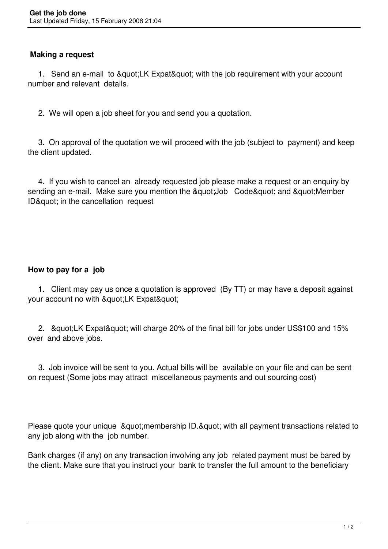## **Making a request**

1. Send an e-mail to "LK Expat" with the job requirement with your account number and relevant details.

2. We will open a job sheet for you and send you a quotation.

 3. On approval of the quotation we will proceed with the job (subject to payment) and keep the client updated.

 4. If you wish to cancel an already requested job please make a request or an enquiry by sending an e-mail. Make sure you mention the &quot: Job Code&quot: and &quot: Member ID& guot; in the cancellation request

## **How to pay for a job**

 1. Client may pay us once a quotation is approved (By TT) or may have a deposit against your account no with "LK Expat"

2. & guot; LK Expat & guot; will charge 20% of the final bill for jobs under US\$100 and 15% over and above jobs.

 3. Job invoice will be sent to you. Actual bills will be available on your file and can be sent on request (Some jobs may attract miscellaneous payments and out sourcing cost)

Please quote your unique & quot; membership ID. & quot; with all payment transactions related to any job along with the job number.

Bank charges (if any) on any transaction involving any job related payment must be bared by the client. Make sure that you instruct your bank to transfer the full amount to the beneficiary